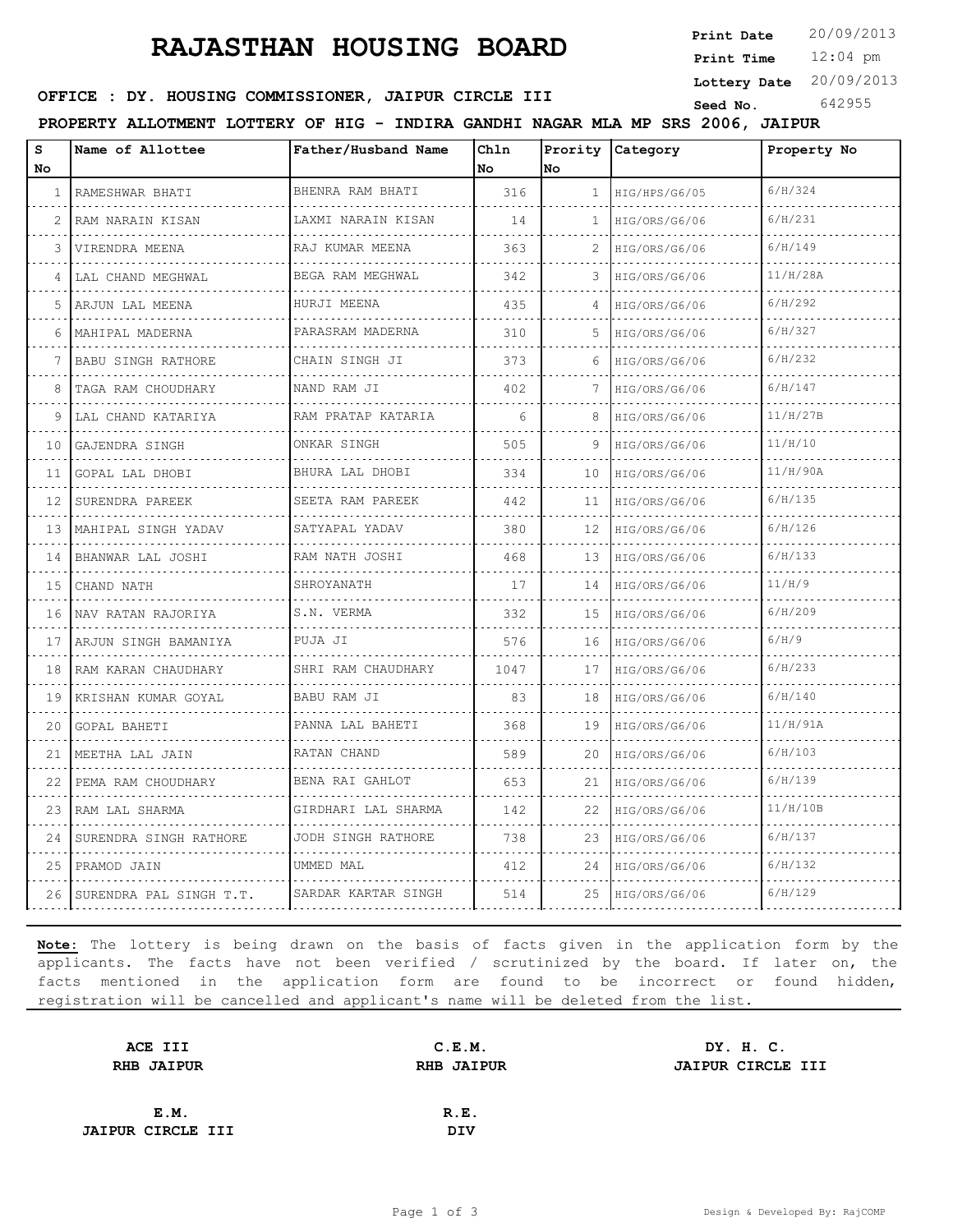## **RAJASTHAN HOUSING BOARD**

**Print Date**  $20/09/2013$ 

12:04 pm **Print Time**

**Lottery Date** 20/09/2013

#### **SEED OFFICE : DY. HOUSING COMMISSIONER, JAIPUR CIRCLE III** Seed No. 642955

**PROPERTY ALLOTMENT LOTTERY OF HIG - INDIRA GANDHI NAGAR MLA MP SRS 2006, JAIPUR**

| S<br>No | Name of Allottee          | Father/Husband Name     | Chln<br>No | No           | Prority Category   | Property No |
|---------|---------------------------|-------------------------|------------|--------------|--------------------|-------------|
| 1       | RAMESHWAR BHATI           | BHENRA RAM BHATI        | 316        | 1            | HIG/HPS/G6/05      | 6/H/324     |
| 2       | RAM NARAIN KISAN          | .<br>LAXMI NARAIN KISAN | 14         | $\mathbf{1}$ | .<br>HIG/ORS/G6/06 | 6/H/231     |
| 3       | VIRENDRA MEENA            | .<br>RAJ KUMAR MEENA    | 363        | 2            | HIG/ORS/G6/06      | 6/H/149     |
| 4       | LAL CHAND MEGHWAL         | BEGA RAM MEGHWAL        | 342        | 3            | HIG/ORS/G6/06      | 11/H/28A    |
| 5       | ARJUN LAL MEENA           | .<br>HURJI MEENA        | 435        | 4            | .<br>HIG/ORS/G6/06 | 6/H/292     |
| 6       | MAHIPAL MADERNA           | PARASRAM MADERNA        | 310        | 5            | HIG/ORS/G6/06      | 6/H/327     |
|         | <b>BABU SINGH RATHORE</b> | CHAIN SINGH JI          | 373        | 6            | HIG/ORS/G6/06      | 6/H/232     |
| 8       | TAGA RAM CHOUDHARY        | .<br>NAND RAM JI        | 402        |              | .<br>HIG/ORS/G6/06 | 6/H/147     |
| 9       | LAL CHAND KATARIYA        | RAM PRATAP KATARIA      | 6          | 8            | HIG/ORS/G6/06      | 11/H/27B    |
| 10      | GAJENDRA SINGH            | ONKAR SINGH             | 505        | 9            | HIG/ORS/G6/06      | 11/H/10     |
| 11      | GOPAL LAL DHOBI           | .<br>BHURA LAL DHOBI    | 334        | 10           | HIG/ORS/G6/06      | 11/H/90A    |
| 12      | SURENDRA PAREEK           | SEETA RAM PAREEK        | 442        | 11           | HIG/ORS/G6/06      | 6/H/135     |
| 13      | MAHIPAL SINGH YADAV       | SATYAPAL YADAV          | 380        | 12           | HIG/ORS/G6/06      | 6/H/126     |
| 14      | BHANWAR LAL JOSHI         | .<br>RAM NATH JOSHI     | 468        | 13           | HIG/ORS/G6/06      | 6/H/133     |
| 15      | CHAND NATH                | SHROYANATH              | 17         | 14           | HIG/ORS/G6/06      | 11/H/9      |
| 16      | NAV RATAN RAJORIYA        | S.N. VERMA              | 332        | 15           | HIG/ORS/G6/06      | 6/H/209     |
| 17      | ARJUN SINGH BAMANIYA      | PUJA JI                 | 576        | 16           | HIG/ORS/G6/06      | 6/H/9       |
| 18      | RAM KARAN CHAUDHARY       | SHRI RAM CHAUDHARY      | 1047       | 17           | HIG/ORS/G6/06      | 6/H/233     |
| 19      | KRISHAN KUMAR GOYAL       | <b>BABU RAM JI</b>      | 83         | 18           | HIG/ORS/G6/06      | 6/H/140     |
| 20      | GOPAL BAHETI              | PANNA LAL BAHETI        | 368        | 19           | HIG/ORS/G6/06      | 11/H/91A    |
| 21      | MEETHA LAL JAIN<br>.      | RATAN CHAND             | 589        | 20           | HIG/ORS/G6/06      | 6/H/103     |
| 22      | PEMA RAM CHOUDHARY        | BENA RAI GAHLOT         | 653        | 21           | HIG/ORS/G6/06      | 6/H/139     |
| 23      | RAM LAL SHARMA            | GIRDHARI LAL SHARMA     | 142        | 22           | HIG/ORS/G6/06      | 11/H/10B    |
| 24      | SURENDRA SINGH RATHORE    | JODH SINGH RATHORE      | 738        | 23           | HIG/ORS/G6/06      | 6/H/137     |
| 25      | PRAMOD JAIN               | UMMED MAL               | 412        | 24           | HIG/ORS/G6/06      | 6/H/132     |
| 26      | SURENDRA PAL SINGH T.T.   | SARDAR KARTAR SINGH     | 514        | 25           | HIG/ORS/G6/06      | 6/H/129     |

**Note:** The lottery is being drawn on the basis of facts given in the application form by the applicants. The facts have not been verified / scrutinized by the board. If later on, the facts mentioned in the application form are found to be incorrect or found hidden, registration will be cancelled and applicant's name will be deleted from the list.

| ACE III                  | C.E.M.     | DY. H. C.         |                   |
|--------------------------|------------|-------------------|-------------------|
| <b>RHB JAIPUR</b>        |            |                   |                   |
|                          |            |                   |                   |
| E.M.                     | R.E.       |                   |                   |
| <b>JAIPUR CIRCLE III</b> | <b>DIV</b> |                   |                   |
|                          |            | <b>RHB JAIPUR</b> | JAIPUR CIRCLE III |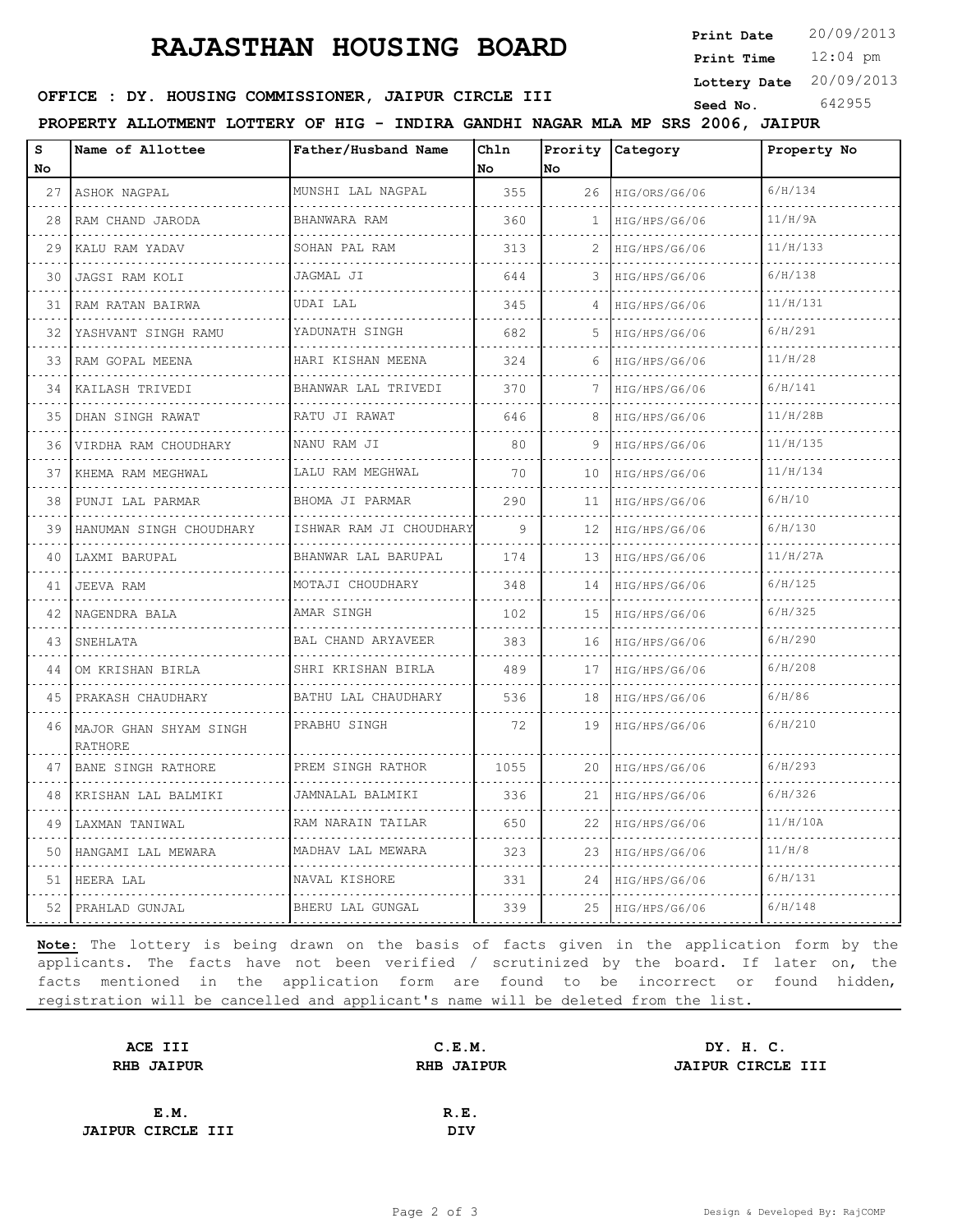## **RAJASTHAN HOUSING BOARD**

**Print Date**  $20/09/2013$ 

12:04 pm **Print Time**

**Lottery Date** 20/09/2013

#### **SEED OFFICE : DY. HOUSING COMMISSIONER, JAIPUR CIRCLE III** Seed No. 642955

**PROPERTY ALLOTMENT LOTTERY OF HIG - INDIRA GANDHI NAGAR MLA MP SRS 2006, JAIPUR**

| S<br>No | Name of Allottee                  | Father/Husband Name            | Chln<br>No | Prority<br>No | Category                  | Property No |
|---------|-----------------------------------|--------------------------------|------------|---------------|---------------------------|-------------|
| 27      | ASHOK NAGPAL<br>.                 | MUNSHI LAL NAGPAL<br>.         | 355        | 26            | HIG/ORS/G6/06<br>.        | 6/H/134     |
| 28      | RAM CHAND JARODA                  | BHANWARA RAM<br>.              | 360        | 1             | HIG/HPS/G6/06<br>.        | 11/H/9A     |
| 29      | KALU RAM YADAV                    | SOHAN PAL RAM                  | 313        |               | HIG/HPS/G6/06             | 11/H/133    |
| 30      | JAGSI RAM KOLI                    | JAGMAL JI                      | 644        |               | HIG/HPS/G6/06             | 6/H/138     |
| 31      | RAM RATAN BAIRWA                  | UDAI LAL                       | 345        | 4             | HIG/HPS/G6/06             | 11/H/131    |
| 32      | YASHVANT SINGH RAMU               | YADUNATH SINGH                 | 682        | 5             | HIG/HPS/G6/06<br><u>.</u> | 6/H/291     |
| 33      | RAM GOPAL MEENA<br>.              | HARI KISHAN MEENA<br>.         | 324        | 6             | HIG/HPS/G6/06             | 11/H/28     |
| 34      | KAILASH TRIVEDI                   | BHANWAR LAL TRIVEDI            | 370        |               | HIG/HPS/G6/06             | 6/H/141     |
| 35      | DHAN SINGH RAWAT                  | RATU JI RAWAT                  | 646        | 8             | HIG/HPS/G6/06             | 11/H/28B    |
| 36      | VIRDHA RAM CHOUDHARY              | NANU RAM JI                    | 80         | 9             | HIG/HPS/G6/06             | 11/H/135    |
| 37      | KHEMA RAM MEGHWAL<br>.            | LALU RAM MEGHWAL<br>.          | 70         | 10            | HIG/HPS/G6/06<br>.        | 11/H/134    |
| 38      | PUNJI LAL PARMAR                  | BHOMA JI PARMAR<br>.           | 290        | 11            | HIG/HPS/G6/06             | 6/H/10      |
| 39      | HANUMAN SINGH CHOUDHARY           | ISHWAR RAM JI CHOUDHARY        | 9          | 12            | HIG/HPS/G6/06             | 6/H/130     |
| 40      | LAXMI BARUPAL<br>.                | BHANWAR LAL BARUPAL            | 174        | 13            | HIG/HPS/G6/06<br>.        | 11/H/27A    |
| 41      | JEEVA RAM                         | MOTAJI CHOUDHARY<br>.          | 348        | 14            | HIG/HPS/G6/06             | 6/H/125     |
| 42      | NAGENDRA BALA                     | AMAR SINGH                     | 102        | 15            | HIG/HPS/G6/06             | 6/H/325     |
| 43      | SNEHLATA                          | <b>BAL CHAND ARYAVEER</b><br>. | 383        | 16            | HIG/HPS/G6/06             | 6/H/290     |
| 44      | OM KRISHAN BIRLA<br>.             | SHRI KRISHAN BIRLA<br>.        | 489        | 17            | HIG/HPS/G6/06             | 6/H/208     |
| 45      | PRAKASH CHAUDHARY<br>.            | BATHU LAL CHAUDHARY<br>.       | 536        | 18            | HIG/HPS/G6/06             | 6/H/86      |
| 46      | MAJOR GHAN SHYAM SINGH<br>RATHORE | PRABHU SINGH                   | 72         | 19            | HIG/HPS/G6/06             | 6/H/210     |
| 47      | BANE SINGH RATHORE<br>.           | PREM SINGH RATHOR<br>.         | 1055       | 20            | HIG/HPS/G6/06             | 6/H/293     |
| 48      | KRISHAN LAL BALMIKI               | JAMNALAL BALMIKI               | 336        | 21            | HIG/HPS/G6/06             | 6/H/326     |
| 49      | LAXMAN TANIWAL                    | RAM NARAIN TAILAR              | 650        | 22            | HIG/HPS/G6/06             | 11/H/10A    |
| 50      | HANGAMI LAL MEWARA<br>.           | MADHAV LAL MEWARA<br>.         | 323        | 23            | HIG/HPS/G6/06             | 11/H/8      |
| 51      | HEERA LAL                         | NAVAL KISHORE<br>.             | 331        | 24            | HIG/HPS/G6/06<br>.        | 6/H/131     |
| 52      | PRAHLAD GUNJAL                    | BHERU LAL GUNGAL               | 339        | 25            | HIG/HPS/G6/06             | 6/H/148     |

**Note:** The lottery is being drawn on the basis of facts given in the application form by the applicants. The facts have not been verified / scrutinized by the board. If later on, the facts mentioned in the application form are found to be incorrect or found hidden, registration will be cancelled and applicant's name will be deleted from the list.

|                                                                  | DY. H. C.                   |
|------------------------------------------------------------------|-----------------------------|
|                                                                  | <b>JAIPUR CIRCLE III</b>    |
|                                                                  |                             |
| R.E.                                                             |                             |
| DIV                                                              |                             |
| ACE III<br><b>RHB JAIPUR</b><br>E.M.<br><b>JAIPUR CIRCLE III</b> | C.E.M.<br><b>RHB JAIPUR</b> |